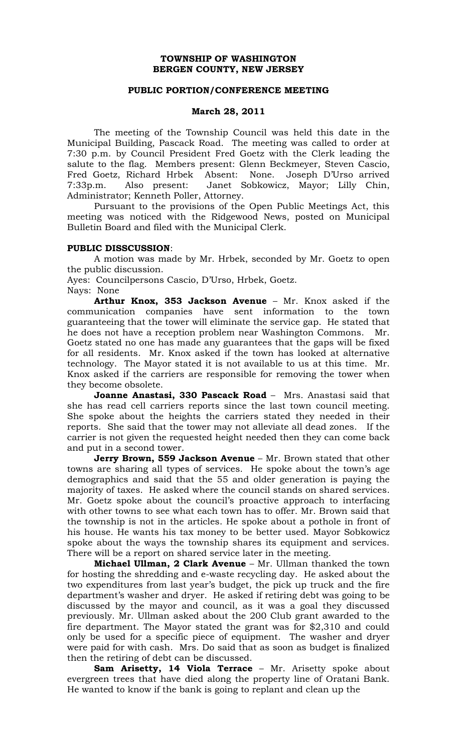## **TOWNSHIP OF WASHINGTON BERGEN COUNTY, NEW JERSEY**

## **PUBLIC PORTION/CONFERENCE MEETING**

## **March 28, 2011**

The meeting of the Township Council was held this date in the Municipal Building, Pascack Road. The meeting was called to order at 7:30 p.m. by Council President Fred Goetz with the Clerk leading the salute to the flag. Members present: Glenn Beckmeyer, Steven Cascio, Fred Goetz, Richard Hrbek Absent: None. Joseph D'Urso arrived 7:33p.m. Also present: Janet Sobkowicz, Mayor; Lilly Chin, Administrator; Kenneth Poller, Attorney.

Pursuant to the provisions of the Open Public Meetings Act, this meeting was noticed with the Ridgewood News, posted on Municipal Bulletin Board and filed with the Municipal Clerk.

#### **PUBLIC DISSCUSSION**:

A motion was made by Mr. Hrbek, seconded by Mr. Goetz to open the public discussion.

Ayes: Councilpersons Cascio, D'Urso, Hrbek, Goetz. Nays: None

**Arthur Knox, 353 Jackson Avenue** – Mr. Knox asked if the communication companies have sent information to the town guaranteeing that the tower will eliminate the service gap. He stated that he does not have a reception problem near Washington Commons. Mr. Goetz stated no one has made any guarantees that the gaps will be fixed for all residents. Mr. Knox asked if the town has looked at alternative technology. The Mayor stated it is not available to us at this time. Mr. Knox asked if the carriers are responsible for removing the tower when they become obsolete.

**Joanne Anastasi, 330 Pascack Road** – Mrs. Anastasi said that she has read cell carriers reports since the last town council meeting. She spoke about the heights the carriers stated they needed in their reports. She said that the tower may not alleviate all dead zones. If the carrier is not given the requested height needed then they can come back and put in a second tower.

**Jerry Brown, 559 Jackson Avenue** – Mr. Brown stated that other towns are sharing all types of services. He spoke about the town's age demographics and said that the 55 and older generation is paying the majority of taxes. He asked where the council stands on shared services. Mr. Goetz spoke about the council's proactive approach to interfacing with other towns to see what each town has to offer. Mr. Brown said that the township is not in the articles. He spoke about a pothole in front of his house. He wants his tax money to be better used. Mayor Sobkowicz spoke about the ways the township shares its equipment and services. There will be a report on shared service later in the meeting.

**Michael Ullman, 2 Clark Avenue** – Mr. Ullman thanked the town for hosting the shredding and e-waste recycling day. He asked about the two expenditures from last year's budget, the pick up truck and the fire department's washer and dryer. He asked if retiring debt was going to be discussed by the mayor and council, as it was a goal they discussed previously. Mr. Ullman asked about the 200 Club grant awarded to the fire department. The Mayor stated the grant was for \$2,310 and could only be used for a specific piece of equipment. The washer and dryer were paid for with cash. Mrs. Do said that as soon as budget is finalized then the retiring of debt can be discussed.

**Sam Arisetty, 14 Viola Terrace** – Mr. Arisetty spoke about evergreen trees that have died along the property line of Oratani Bank. He wanted to know if the bank is going to replant and clean up the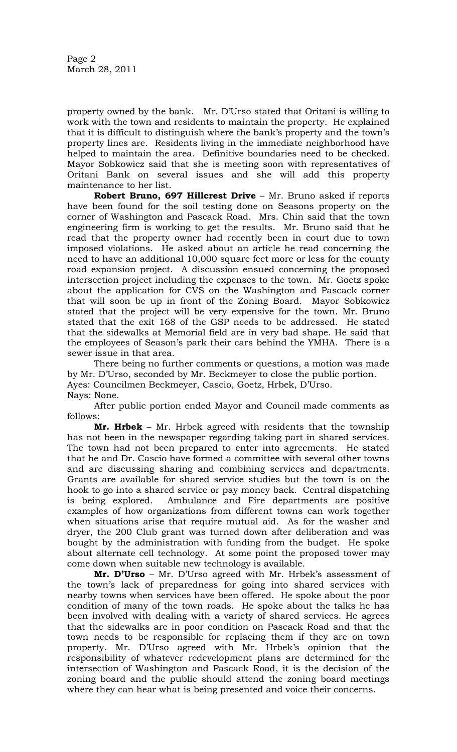property owned by the bank. Mr. D'Urso stated that Oritani is willing to work with the town and residents to maintain the property. He explained that it is difficult to distinguish where the bank's property and the town's property lines are. Residents living in the immediate neighborhood have helped to maintain the area. Definitive boundaries need to be checked. Mayor Sobkowicz said that she is meeting soon with representatives of Oritani Bank on several issues and she will add this property maintenance to her list.

**Robert Bruno, 697 Hillcrest Drive** – Mr. Bruno asked if reports have been found for the soil testing done on Seasons property on the corner of Washington and Pascack Road. Mrs. Chin said that the town engineering firm is working to get the results. Mr. Bruno said that he read that the property owner had recently been in court due to town imposed violations. He asked about an article he read concerning the need to have an additional 10,000 square feet more or less for the county road expansion project. A discussion ensued concerning the proposed intersection project including the expenses to the town. Mr. Goetz spoke about the application for CVS on the Washington and Pascack corner that will soon be up in front of the Zoning Board. Mayor Sobkowicz stated that the project will be very expensive for the town. Mr. Bruno stated that the exit 168 of the GSP needs to be addressed. He stated that the sidewalks at Memorial field are in very bad shape. He said that the employees of Season's park their cars behind the YMHA. There is a sewer issue in that area.

There being no further comments or questions, a motion was made by Mr. D'Urso, seconded by Mr. Beckmeyer to close the public portion. Ayes: Councilmen Beckmeyer, Cascio, Goetz, Hrbek, D'Urso. Nays: None.

After public portion ended Mayor and Council made comments as follows:

**Mr. Hrbek** – Mr. Hrbek agreed with residents that the township has not been in the newspaper regarding taking part in shared services. The town had not been prepared to enter into agreements. He stated that he and Dr. Cascio have formed a committee with several other towns and are discussing sharing and combining services and departments. Grants are available for shared service studies but the town is on the hook to go into a shared service or pay money back. Central dispatching is being explored. Ambulance and Fire departments are positive examples of how organizations from different towns can work together when situations arise that require mutual aid. As for the washer and dryer, the 200 Club grant was turned down after deliberation and was bought by the administration with funding from the budget. He spoke about alternate cell technology. At some point the proposed tower may come down when suitable new technology is available.

**Mr. D'Urso** – Mr. D'Urso agreed with Mr. Hrbek's assessment of the town's lack of preparedness for going into shared services with nearby towns when services have been offered. He spoke about the poor condition of many of the town roads. He spoke about the talks he has been involved with dealing with a variety of shared services. He agrees that the sidewalks are in poor condition on Pascack Road and that the town needs to be responsible for replacing them if they are on town property. Mr. D'Urso agreed with Mr. Hrbek's opinion that the responsibility of whatever redevelopment plans are determined for the intersection of Washington and Pascack Road, it is the decision of the zoning board and the public should attend the zoning board meetings where they can hear what is being presented and voice their concerns.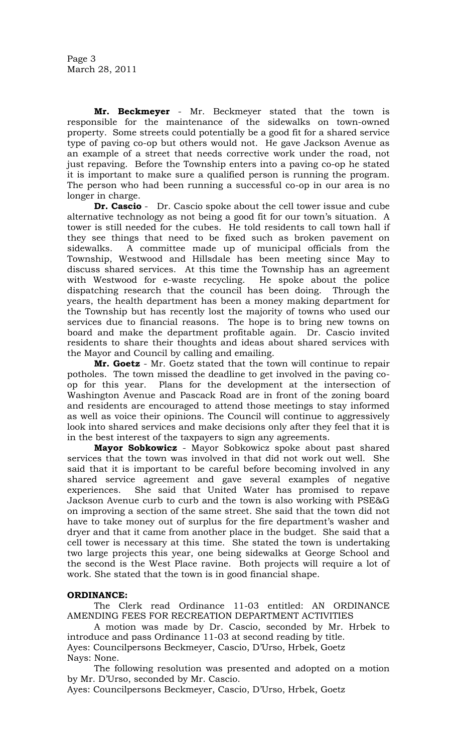**Mr. Beckmeyer** - Mr. Beckmeyer stated that the town is responsible for the maintenance of the sidewalks on town-owned property. Some streets could potentially be a good fit for a shared service type of paving co-op but others would not. He gave Jackson Avenue as an example of a street that needs corrective work under the road, not just repaving. Before the Township enters into a paving co-op he stated it is important to make sure a qualified person is running the program. The person who had been running a successful co-op in our area is no longer in charge.

**Dr. Cascio** - Dr. Cascio spoke about the cell tower issue and cube alternative technology as not being a good fit for our town's situation. A tower is still needed for the cubes. He told residents to call town hall if they see things that need to be fixed such as broken pavement on sidewalks. A committee made up of municipal officials from the Township, Westwood and Hillsdale has been meeting since May to discuss shared services. At this time the Township has an agreement with Westwood for e-waste recycling. He spoke about the police dispatching research that the council has been doing. Through the years, the health department has been a money making department for the Township but has recently lost the majority of towns who used our services due to financial reasons. The hope is to bring new towns on board and make the department profitable again. Dr. Cascio invited residents to share their thoughts and ideas about shared services with the Mayor and Council by calling and emailing.

**Mr. Goetz** - Mr. Goetz stated that the town will continue to repair potholes. The town missed the deadline to get involved in the paving coop for this year. Plans for the development at the intersection of Washington Avenue and Pascack Road are in front of the zoning board and residents are encouraged to attend those meetings to stay informed as well as voice their opinions. The Council will continue to aggressively look into shared services and make decisions only after they feel that it is in the best interest of the taxpayers to sign any agreements.

**Mayor Sobkowicz** - Mayor Sobkowicz spoke about past shared services that the town was involved in that did not work out well. She said that it is important to be careful before becoming involved in any shared service agreement and gave several examples of negative experiences. She said that United Water has promised to repave Jackson Avenue curb to curb and the town is also working with PSE&G on improving a section of the same street. She said that the town did not have to take money out of surplus for the fire department's washer and dryer and that it came from another place in the budget. She said that a cell tower is necessary at this time. She stated the town is undertaking two large projects this year, one being sidewalks at George School and the second is the West Place ravine. Both projects will require a lot of work. She stated that the town is in good financial shape.

# **ORDINANCE:**

The Clerk read Ordinance 11-03 entitled: AN ORDINANCE AMENDING FEES FOR RECREATION DEPARTMENT ACTIVITIES

A motion was made by Dr. Cascio, seconded by Mr. Hrbek to introduce and pass Ordinance 11-03 at second reading by title. Ayes: Councilpersons Beckmeyer, Cascio, D'Urso, Hrbek, Goetz

Nays: None.

The following resolution was presented and adopted on a motion by Mr. D'Urso, seconded by Mr. Cascio.

Ayes: Councilpersons Beckmeyer, Cascio, D'Urso, Hrbek, Goetz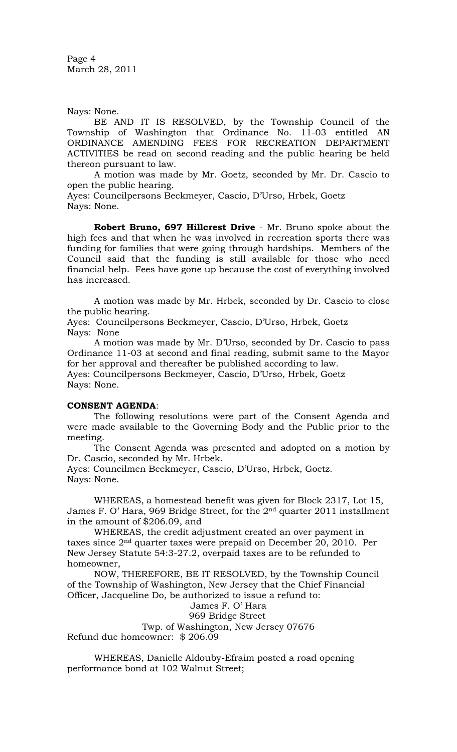Page 4 March 28, 2011

Nays: None.

BE AND IT IS RESOLVED, by the Township Council of the Township of Washington that Ordinance No. 11-03 entitled AN ORDINANCE AMENDING FEES FOR RECREATION DEPARTMENT ACTIVITIES be read on second reading and the public hearing be held thereon pursuant to law.

A motion was made by Mr. Goetz, seconded by Mr. Dr. Cascio to open the public hearing.

Ayes: Councilpersons Beckmeyer, Cascio, D'Urso, Hrbek, Goetz Nays: None.

**Robert Bruno, 697 Hillcrest Drive** - Mr. Bruno spoke about the high fees and that when he was involved in recreation sports there was funding for families that were going through hardships. Members of the Council said that the funding is still available for those who need financial help. Fees have gone up because the cost of everything involved has increased.

A motion was made by Mr. Hrbek, seconded by Dr. Cascio to close the public hearing.

Ayes: Councilpersons Beckmeyer, Cascio, D'Urso, Hrbek, Goetz Nays: None

A motion was made by Mr. D'Urso, seconded by Dr. Cascio to pass Ordinance 11-03 at second and final reading, submit same to the Mayor for her approval and thereafter be published according to law. Ayes: Councilpersons Beckmeyer, Cascio, D'Urso, Hrbek, Goetz Nays: None.

### **CONSENT AGENDA**:

The following resolutions were part of the Consent Agenda and were made available to the Governing Body and the Public prior to the meeting.

The Consent Agenda was presented and adopted on a motion by Dr. Cascio, seconded by Mr. Hrbek.

Ayes: Councilmen Beckmeyer, Cascio, D'Urso, Hrbek, Goetz. Nays: None.

WHEREAS, a homestead benefit was given for Block 2317, Lot 15, James F. O' Hara, 969 Bridge Street, for the 2nd quarter 2011 installment in the amount of \$206.09, and

WHEREAS, the credit adjustment created an over payment in taxes since 2nd quarter taxes were prepaid on December 20, 2010. Per New Jersey Statute 54:3-27.2, overpaid taxes are to be refunded to homeowner,

NOW, THEREFORE, BE IT RESOLVED, by the Township Council of the Township of Washington, New Jersey that the Chief Financial Officer, Jacqueline Do, be authorized to issue a refund to:

James F. O' Hara

969 Bridge Street

Twp. of Washington, New Jersey 07676 Refund due homeowner: \$ 206.09

WHEREAS, Danielle Aldouby-Efraim posted a road opening performance bond at 102 Walnut Street;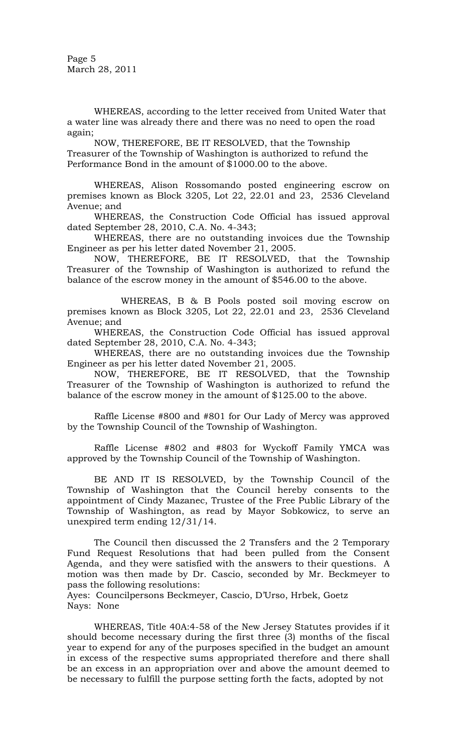Page 5 March 28, 2011

WHEREAS, according to the letter received from United Water that a water line was already there and there was no need to open the road again;

NOW, THEREFORE, BE IT RESOLVED, that the Township Treasurer of the Township of Washington is authorized to refund the Performance Bond in the amount of \$1000.00 to the above.

WHEREAS, Alison Rossomando posted engineering escrow on premises known as Block 3205, Lot 22, 22.01 and 23, 2536 Cleveland Avenue; and

WHEREAS, the Construction Code Official has issued approval dated September 28, 2010, C.A. No. 4-343;

WHEREAS, there are no outstanding invoices due the Township Engineer as per his letter dated November 21, 2005.

NOW, THEREFORE, BE IT RESOLVED, that the Township Treasurer of the Township of Washington is authorized to refund the balance of the escrow money in the amount of \$546.00 to the above.

WHEREAS, B & B Pools posted soil moving escrow on premises known as Block 3205, Lot 22, 22.01 and 23, 2536 Cleveland Avenue; and

WHEREAS, the Construction Code Official has issued approval dated September 28, 2010, C.A. No. 4-343;

WHEREAS, there are no outstanding invoices due the Township Engineer as per his letter dated November 21, 2005.

NOW, THEREFORE, BE IT RESOLVED, that the Township Treasurer of the Township of Washington is authorized to refund the balance of the escrow money in the amount of \$125.00 to the above.

Raffle License #800 and #801 for Our Lady of Mercy was approved by the Township Council of the Township of Washington.

Raffle License #802 and #803 for Wyckoff Family YMCA was approved by the Township Council of the Township of Washington.

BE AND IT IS RESOLVED, by the Township Council of the Township of Washington that the Council hereby consents to the appointment of Cindy Mazanec, Trustee of the Free Public Library of the Township of Washington, as read by Mayor Sobkowicz, to serve an unexpired term ending 12/31/14.

The Council then discussed the 2 Transfers and the 2 Temporary Fund Request Resolutions that had been pulled from the Consent Agenda, and they were satisfied with the answers to their questions. A motion was then made by Dr. Cascio, seconded by Mr. Beckmeyer to pass the following resolutions:

Ayes: Councilpersons Beckmeyer, Cascio, D'Urso, Hrbek, Goetz Nays: None

WHEREAS, Title 40A:4-58 of the New Jersey Statutes provides if it should become necessary during the first three (3) months of the fiscal year to expend for any of the purposes specified in the budget an amount in excess of the respective sums appropriated therefore and there shall be an excess in an appropriation over and above the amount deemed to be necessary to fulfill the purpose setting forth the facts, adopted by not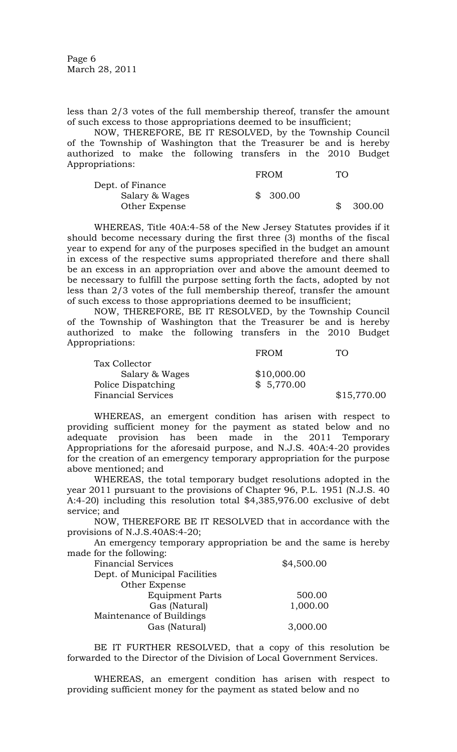Page 6 March 28, 2011

less than 2/3 votes of the full membership thereof, transfer the amount of such excess to those appropriations deemed to be insufficient;

NOW, THEREFORE, BE IT RESOLVED, by the Township Council of the Township of Washington that the Treasurer be and is hereby authorized to make the following transfers in the 2010 Budget Appropriations:

|                  | <b>FROM</b> | TO.    |
|------------------|-------------|--------|
| Dept. of Finance |             |        |
| Salary & Wages   | \$300.00    |        |
| Other Expense    |             | 300.00 |

WHEREAS, Title 40A:4-58 of the New Jersey Statutes provides if it should become necessary during the first three (3) months of the fiscal year to expend for any of the purposes specified in the budget an amount in excess of the respective sums appropriated therefore and there shall be an excess in an appropriation over and above the amount deemed to be necessary to fulfill the purpose setting forth the facts, adopted by not less than 2/3 votes of the full membership thereof, transfer the amount of such excess to those appropriations deemed to be insufficient;

NOW, THEREFORE, BE IT RESOLVED, by the Township Council of the Township of Washington that the Treasurer be and is hereby authorized to make the following transfers in the 2010 Budget Appropriations: FROM TO

|                           | F RUM       | 1 ( <i>)</i> |
|---------------------------|-------------|--------------|
| Tax Collector             |             |              |
| Salary & Wages            | \$10,000.00 |              |
| Police Dispatching        | \$5,770.00  |              |
| <b>Financial Services</b> |             | \$15,770.00  |

WHEREAS, an emergent condition has arisen with respect to providing sufficient money for the payment as stated below and no adequate provision has been made in the 2011 Temporary Appropriations for the aforesaid purpose, and N.J.S. 40A:4-20 provides for the creation of an emergency temporary appropriation for the purpose above mentioned; and

WHEREAS, the total temporary budget resolutions adopted in the year 2011 pursuant to the provisions of Chapter 96, P.L. 1951 (N.J.S. 40 A:4-20) including this resolution total \$4,385,976.00 exclusive of debt service; and

NOW, THEREFORE BE IT RESOLVED that in accordance with the provisions of N.J.S.40AS:4-20;

An emergency temporary appropriation be and the same is hereby made for the following:

| <b>Financial Services</b>     | \$4,500.00 |
|-------------------------------|------------|
| Dept. of Municipal Facilities |            |
| Other Expense                 |            |
| <b>Equipment Parts</b>        | 500.00     |
| Gas (Natural)                 | 1,000.00   |
| Maintenance of Buildings      |            |
| Gas (Natural)                 | 3,000.00   |

BE IT FURTHER RESOLVED, that a copy of this resolution be forwarded to the Director of the Division of Local Government Services.

WHEREAS, an emergent condition has arisen with respect to providing sufficient money for the payment as stated below and no